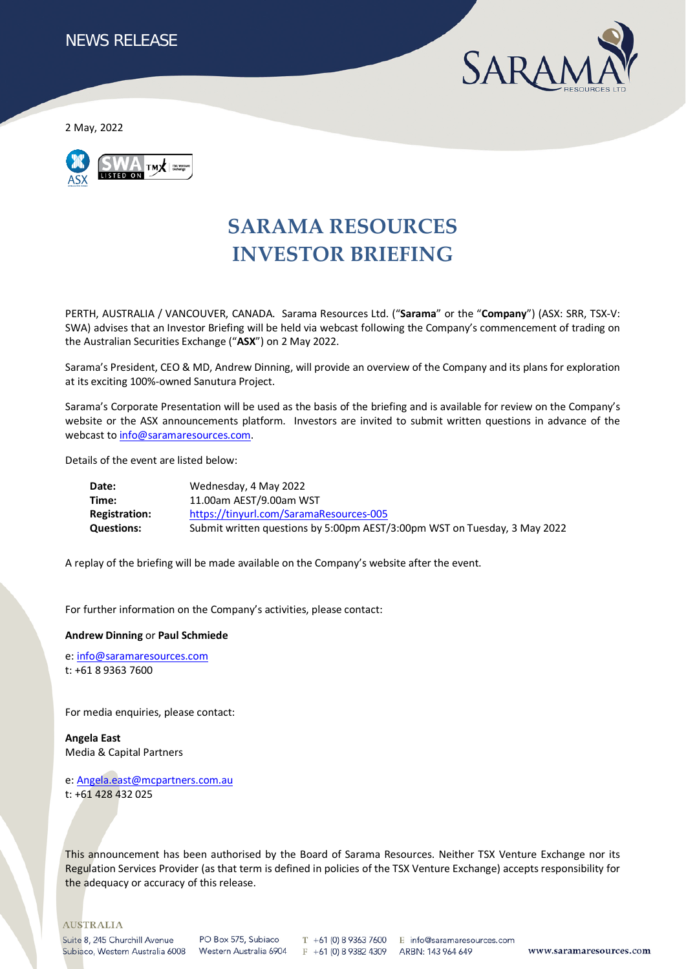

2 May, 2022



# **SARAMA RESOURCES INVESTOR BRIEFING**

PERTH, AUSTRALIA / VANCOUVER, CANADA. Sarama Resources Ltd. ("**Sarama**" or the "**Company**") (ASX: SRR, TSX-V: SWA) advises that an Investor Briefing will be held via webcast following the Company's commencement of trading on the Australian Securities Exchange ("**ASX**") on 2 May 2022.

Sarama's President, CEO & MD, Andrew Dinning, will provide an overview of the Company and its plans for exploration at its exciting 100%-owned Sanutura Project.

Sarama's Corporate Presentation will be used as the basis of the briefing and is available for review on the Company's website or the ASX announcements platform. Investors are invited to submit written questions in advance of the webcast t[o info@saramaresources.com.](mailto:info@saramaresources.com)

Details of the event are listed below:

| Date:                | Wednesday, 4 May 2022                                                     |
|----------------------|---------------------------------------------------------------------------|
| Time:                | 11.00am AEST/9.00am WST                                                   |
| <b>Registration:</b> | https://tinyurl.com/SaramaResources-005                                   |
| <b>Questions:</b>    | Submit written questions by 5:00pm AEST/3:00pm WST on Tuesday, 3 May 2022 |

A replay of the briefing will be made available on the Company's website after the event.

For further information on the Company's activities, please contact:

#### **Andrew Dinning** or **Paul Schmiede**

e[: info@saramaresources.com](mailto:info@saramaresources.com) t: +61 8 9363 7600

For media enquiries, please contact:

**Angela East** Media & Capital Partners

e[: Angela.east@mcpartners.com.au](mailto:Angela.east@mcpartners.com.au) t: +61 428 432 025

This announcement has been authorised by the Board of Sarama Resources. Neither TSX Venture Exchange nor its Regulation Services Provider (as that term is defined in policies of the TSX Venture Exchange) accepts responsibility for the adequacy or accuracy of this release.

#### **AUSTRALIA**

Suite 8, 245 Churchill Avenue Subiaco, Western Australia 6008 Western Australia 6904

PO Box 575, Subiaco

 $T + 61$  (0) 8 9363 7600 E info@saramaresources.com F +61 (0) 8 9382 4309

ARBN: 143 964 649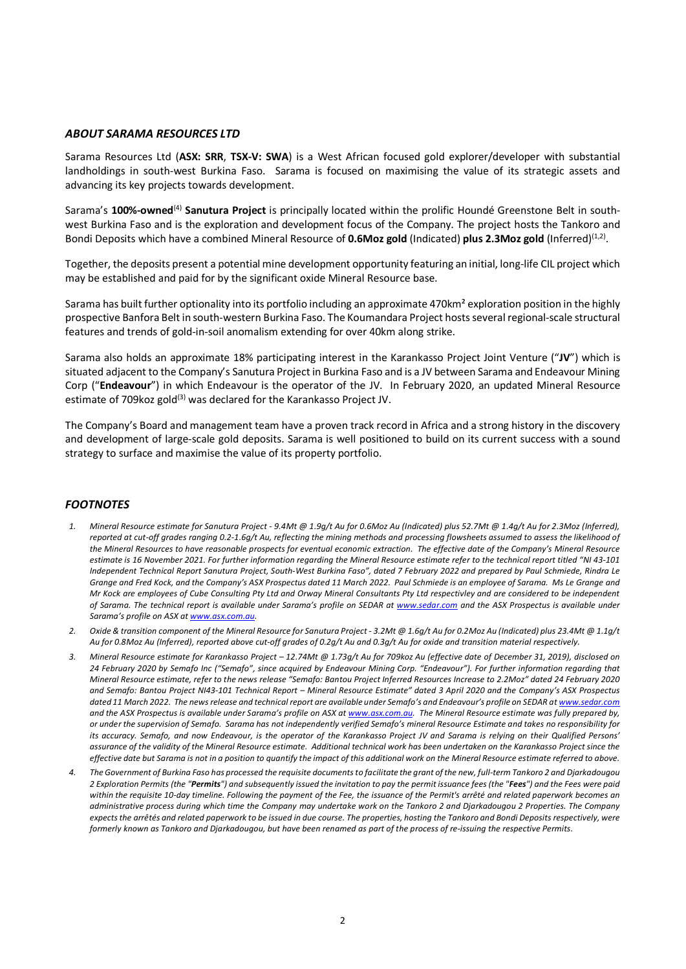### *ABOUT SARAMA RESOURCES LTD*

Sarama Resources Ltd (**ASX: SRR**, **TSX-V: SWA**) is a West African focused gold explorer/developer with substantial landholdings in south-west Burkina Faso. Sarama is focused on maximising the value of its strategic assets and advancing its key projects towards development.

Sarama's **100%-owned**(4) **Sanutura Project** is principally located within the prolific Houndé Greenstone Belt in southwest Burkina Faso and is the exploration and development focus of the Company. The project hosts the Tankoro and Bondi Deposits which have a combined Mineral Resource of **0.6Moz gold** (Indicated) **plus 2.3Moz gold** (Inferred)<sup>(1,2)</sup>.

Together, the deposits present a potential mine development opportunity featuring an initial, long-life CIL project which may be established and paid for by the significant oxide Mineral Resource base.

Sarama has built further optionality into its portfolio including an approximate 470km² exploration position in the highly prospective Banfora Belt in south-western Burkina Faso. The Koumandara Project hosts several regional-scale structural features and trends of gold-in-soil anomalism extending for over 40km along strike.

Sarama also holds an approximate 18% participating interest in the Karankasso Project Joint Venture ("**JV**") which is situated adjacent to the Company's Sanutura Project in Burkina Faso and is a JV between Sarama and Endeavour Mining Corp ("**Endeavour**") in which Endeavour is the operator of the JV. In February 2020, an updated Mineral Resource estimate of 709 koz gold<sup>(3)</sup> was declared for the Karankasso Project JV.

The Company's Board and management team have a proven track record in Africa and a strong history in the discovery and development of large-scale gold deposits. Sarama is well positioned to build on its current success with a sound strategy to surface and maximise the value of its property portfolio.

# *FOOTNOTES*

- *1. Mineral Resource estimate for Sanutura Project - 9.4Mt @ 1.9g/t Au for 0.6Moz Au (Indicated) plus 52.7Mt @ 1.4g/t Au for 2.3Moz (Inferred), reported at cut-off grades ranging 0.2-1.6g/t Au, reflecting the mining methods and processing flowsheets assumed to assess the likelihood of the Mineral Resources to have reasonable prospects for eventual economic extraction. The effective date of the Company's Mineral Resource estimate is 16 November 2021. For further information regarding the Mineral Resource estimate refer to the technical report titled "NI 43-101 Independent Technical Report Sanutura Project, South-West Burkina Faso", dated 7 February 2022 and prepared by Paul Schmiede, Rindra Le Grange and Fred Kock, and the Company's ASX Prospectus dated 11 March 2022. Paul Schmiede is an employee of Sarama. Ms Le Grange and Mr Kock are employees of Cube Consulting Pty Ltd and Orway Mineral Consultants Pty Ltd respectivley and are considered to be independent of Sarama. The technical report is available under Sarama's profile on SEDAR at [www.sedar.com](http://www.sedar.com/) and the ASX Prospectus is available under Sarama's profile on ASX a[t www.asx.com.au.](http://www.asx.com.au/)*
- *2. Oxide & transition component of the Mineral Resource for Sanutura Project - 3.2Mt @ 1.6g/t Au for 0.2Moz Au (Indicated) plus 23.4Mt @ 1.1g/t Au for 0.8Moz Au (Inferred), reported above cut-off grades of 0.2g/t Au and 0.3g/t Au for oxide and transition material respectively.*
- *3. Mineral Resource estimate for Karankasso Project – 12.74Mt @ 1.73g/t Au for 709koz Au (effective date of December 31, 2019), disclosed on 24 February 2020 by Semafo Inc ("Semafo", since acquired by Endeavour Mining Corp. "Endeavour"). For further information regarding that Mineral Resource estimate, refer to the news release "Semafo: Bantou Project Inferred Resources Increase to 2.2Moz" dated 24 February 2020 and Semafo: Bantou Project NI43-101 Technical Report – Mineral Resource Estimate" dated 3 April 2020 and the Company's ASX Prospectus dated 11 March 2022. The news release and technical report are available under Semafo's and Endeavour's profile on SEDAR a[t www.sedar.com](http://www.sedar.com/) and the ASX Prospectus is available under Sarama's profile on ASX a[t www.asx.com.au.](http://www.asx.com.au/) The Mineral Resource estimate was fully prepared by, or under the supervision of Semafo. Sarama has not independently verified Semafo's mineral Resource Estimate and takes no responsibility for its accuracy. Semafo, and now Endeavour, is the operator of the Karankasso Project JV and Sarama is relying on their Qualified Persons' assurance of the validity of the Mineral Resource estimate. Additional technical work has been undertaken on the Karankasso Project since the effective date but Sarama is not in a position to quantify the impact of this additional work on the Mineral Resource estimate referred to above.*
- *4. The Government of Burkina Faso has processed the requisite documents to facilitate the grant of the new, full-term Tankoro 2 and Djarkadougou 2 Exploration Permits (the "Permits") and subsequently issued the invitation to pay the permit issuance fees (the "Fees") and the Fees were paid within the requisite 10-day timeline. Following the payment of the Fee, the issuance of the Permit's arrêté and related paperwork becomes an administrative process during which time the Company may undertake work on the Tankoro 2 and Djarkadougou 2 Properties. The Company expects the arrêtés and related paperwork to be issued in due course. The properties, hosting the Tankoro and Bondi Deposits respectively, were formerly known as Tankoro and Djarkadougou, but have been renamed as part of the process of re-issuing the respective Permits.*